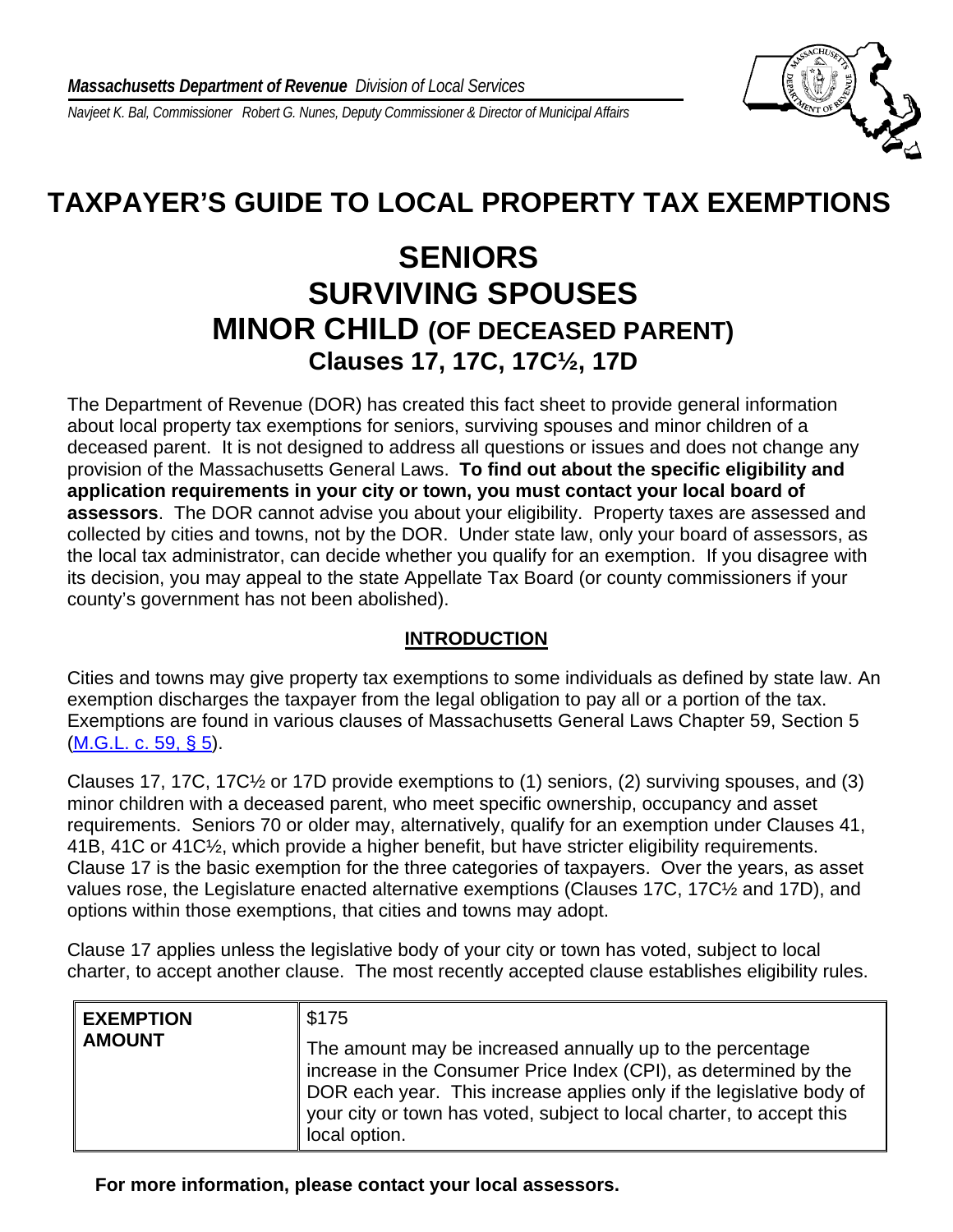*Navjeet K. Bal, Commissioner Robert G. Nunes, Deputy Commissioner & Director of Municipal Affairs* 



## **TAXPAYER'S GUIDE TO LOCAL PROPERTY TAX EXEMPTIONS**

## **SENIORS SURVIVING SPOUSES MINOR CHILD (OF DECEASED PARENT) Clauses 17, 17C, 17C½, 17D**

The Department of Revenue (DOR) has created this fact sheet to provide general information about local property tax exemptions for seniors, surviving spouses and minor children of a deceased parent. It is not designed to address all questions or issues and does not change any provision of the Massachusetts General Laws. **To find out about the specific eligibility and application requirements in your city or town, you must contact your local board of assessors**. The DOR cannot advise you about your eligibility. Property taxes are assessed and collected by cities and towns, not by the DOR. Under state law, only your board of assessors, as the local tax administrator, can decide whether you qualify for an exemption. If you disagree with its decision, you may appeal to the state Appellate Tax Board (or county commissioners if your county's government has not been abolished).

## **INTRODUCTION**

Cities and towns may give property tax exemptions to some individuals as defined by state law. An exemption discharges the taxpayer from the legal obligation to pay all or a portion of the tax. Exemptions are found in various clauses of Massachusetts General Laws Chapter 59, Section 5 [\(M.G.L. c. 59, § 5](http://www.malegislature.gov/Laws/GeneralLaws/PartI/TitleIX/Chapter59/Section5)).

Clauses 17, 17C, 17C½ or 17D provide exemptions to (1) seniors, (2) surviving spouses, and (3) minor children with a deceased parent, who meet specific ownership, occupancy and asset requirements. Seniors 70 or older may, alternatively, qualify for an exemption under Clauses 41, 41B, 41C or 41C½, which provide a higher benefit, but have stricter eligibility requirements. Clause 17 is the basic exemption for the three categories of taxpayers. Over the years, as asset values rose, the Legislature enacted alternative exemptions (Clauses 17C, 17C½ and 17D), and options within those exemptions, that cities and towns may adopt.

Clause 17 applies unless the legislative body of your city or town has voted, subject to local charter, to accept another clause. The most recently accepted clause establishes eligibility rules.

| <b>EXEMPTION</b><br><b>AMOUNT</b> | \$175<br>The amount may be increased annually up to the percentage<br>increase in the Consumer Price Index (CPI), as determined by the<br>DOR each year. This increase applies only if the legislative body of |
|-----------------------------------|----------------------------------------------------------------------------------------------------------------------------------------------------------------------------------------------------------------|
|                                   | your city or town has voted, subject to local charter, to accept this<br>local option.                                                                                                                         |

**For more information, please contact your local assessors.**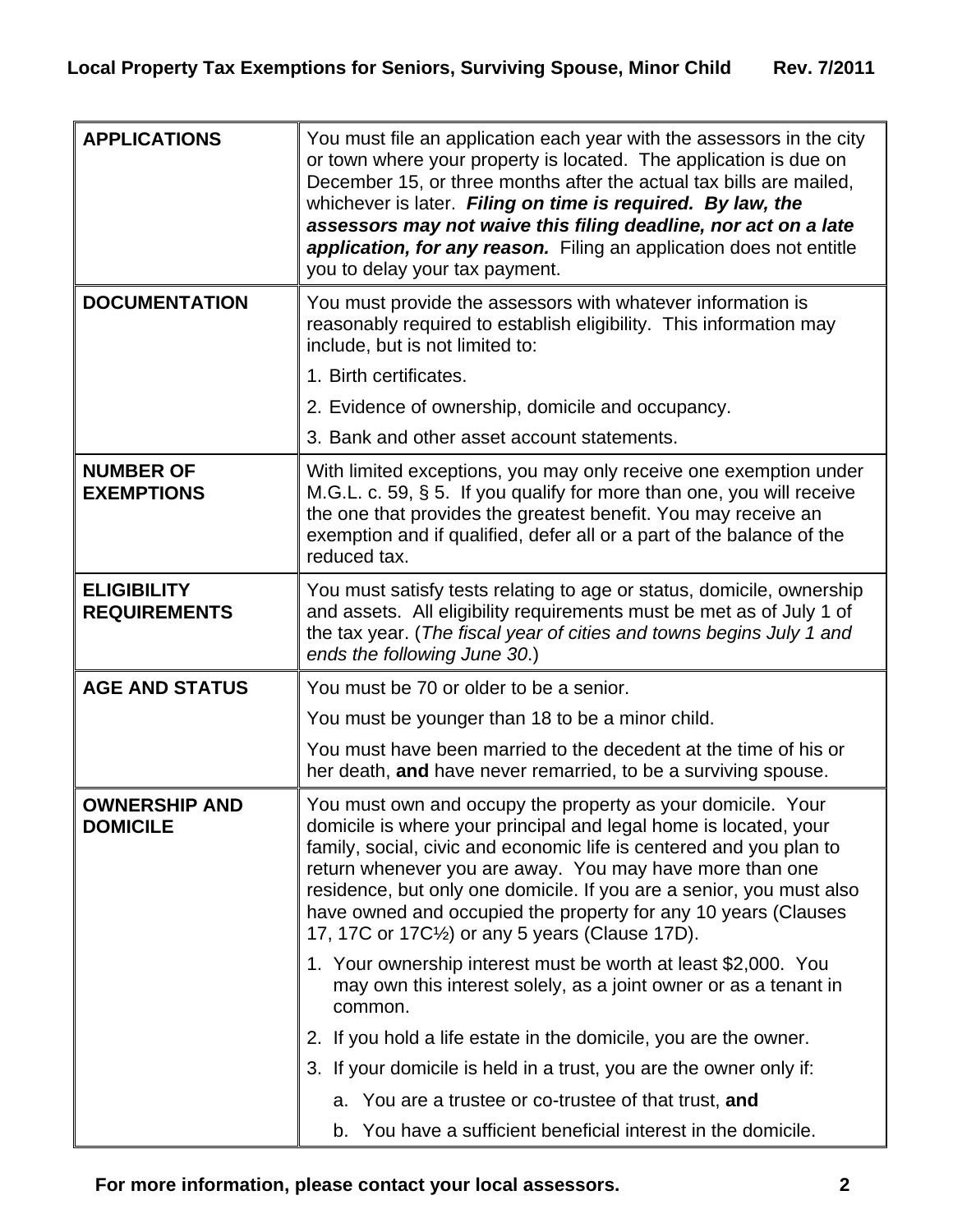| <b>APPLICATIONS</b>                       | You must file an application each year with the assessors in the city<br>or town where your property is located. The application is due on<br>December 15, or three months after the actual tax bills are mailed,<br>whichever is later. Filing on time is required. By law, the<br>assessors may not waive this filing deadline, nor act on a late<br>application, for any reason. Filing an application does not entitle<br>you to delay your tax payment.                              |
|-------------------------------------------|-------------------------------------------------------------------------------------------------------------------------------------------------------------------------------------------------------------------------------------------------------------------------------------------------------------------------------------------------------------------------------------------------------------------------------------------------------------------------------------------|
| <b>DOCUMENTATION</b>                      | You must provide the assessors with whatever information is<br>reasonably required to establish eligibility. This information may<br>include, but is not limited to:                                                                                                                                                                                                                                                                                                                      |
|                                           | 1. Birth certificates.                                                                                                                                                                                                                                                                                                                                                                                                                                                                    |
|                                           | 2. Evidence of ownership, domicile and occupancy.                                                                                                                                                                                                                                                                                                                                                                                                                                         |
|                                           | 3. Bank and other asset account statements.                                                                                                                                                                                                                                                                                                                                                                                                                                               |
| <b>NUMBER OF</b><br><b>EXEMPTIONS</b>     | With limited exceptions, you may only receive one exemption under<br>M.G.L. c. 59, § 5. If you qualify for more than one, you will receive<br>the one that provides the greatest benefit. You may receive an<br>exemption and if qualified, defer all or a part of the balance of the<br>reduced tax.                                                                                                                                                                                     |
| <b>ELIGIBILITY</b><br><b>REQUIREMENTS</b> | You must satisfy tests relating to age or status, domicile, ownership<br>and assets. All eligibility requirements must be met as of July 1 of<br>the tax year. (The fiscal year of cities and towns begins July 1 and<br>ends the following June 30.)                                                                                                                                                                                                                                     |
| <b>AGE AND STATUS</b>                     | You must be 70 or older to be a senior.                                                                                                                                                                                                                                                                                                                                                                                                                                                   |
|                                           | You must be younger than 18 to be a minor child.                                                                                                                                                                                                                                                                                                                                                                                                                                          |
|                                           | You must have been married to the decedent at the time of his or<br>her death, and have never remarried, to be a surviving spouse.                                                                                                                                                                                                                                                                                                                                                        |
| <b>OWNERSHIP AND</b><br><b>DOMICILE</b>   | You must own and occupy the property as your domicile. Your<br>domicile is where your principal and legal home is located, your<br>family, social, civic and economic life is centered and you plan to<br>return whenever you are away. You may have more than one<br>residence, but only one domicile. If you are a senior, you must also<br>have owned and occupied the property for any 10 years (Clauses<br>17, 17C or 17C <sup>1</sup> / <sub>2</sub> ) or any 5 years (Clause 17D). |
|                                           | 1. Your ownership interest must be worth at least \$2,000. You<br>may own this interest solely, as a joint owner or as a tenant in<br>common.                                                                                                                                                                                                                                                                                                                                             |
|                                           | 2. If you hold a life estate in the domicile, you are the owner.                                                                                                                                                                                                                                                                                                                                                                                                                          |
|                                           | 3. If your domicile is held in a trust, you are the owner only if:                                                                                                                                                                                                                                                                                                                                                                                                                        |
|                                           | a. You are a trustee or co-trustee of that trust, and                                                                                                                                                                                                                                                                                                                                                                                                                                     |
|                                           | b. You have a sufficient beneficial interest in the domicile.                                                                                                                                                                                                                                                                                                                                                                                                                             |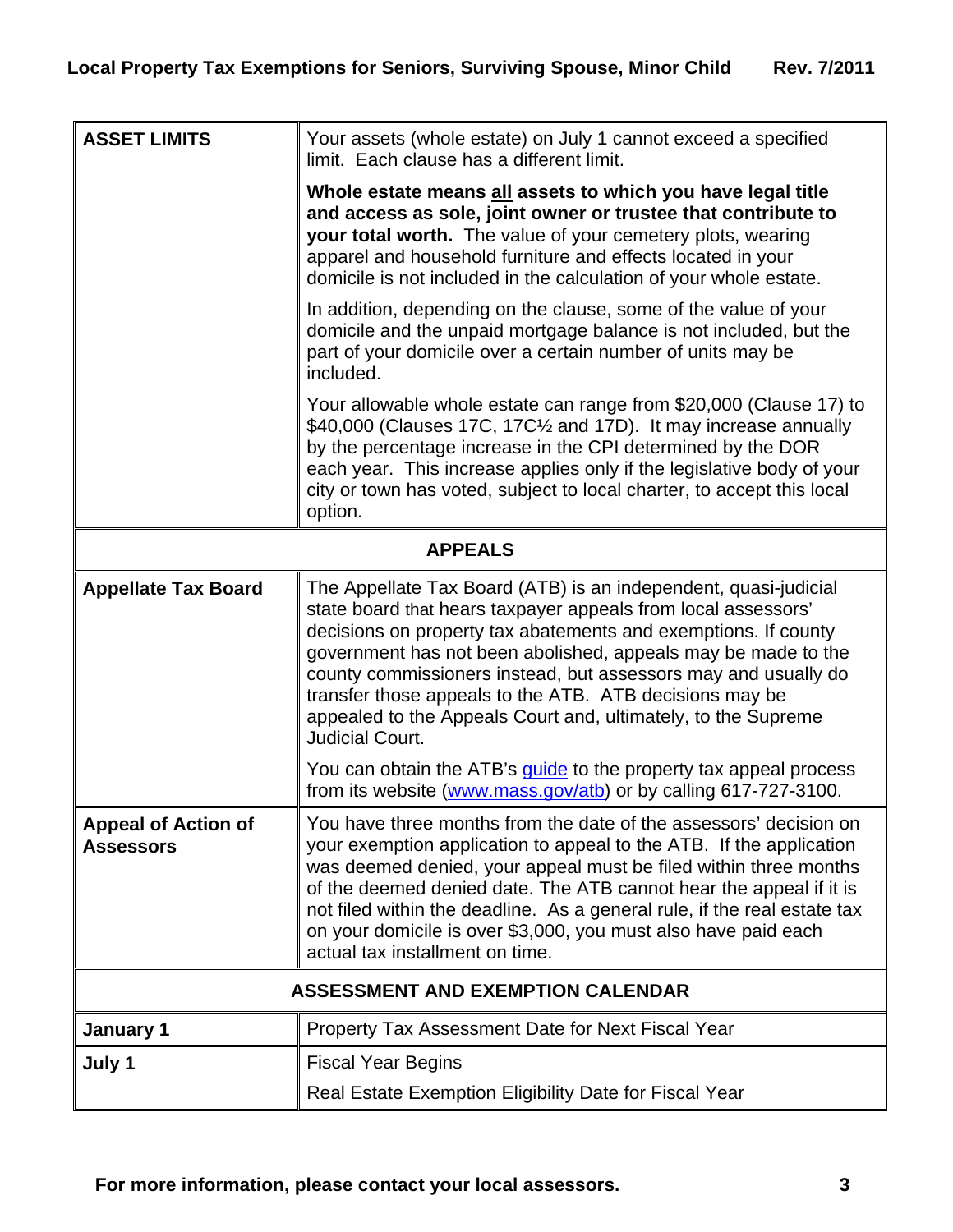| <b>ASSET LIMITS</b>                            | Your assets (whole estate) on July 1 cannot exceed a specified<br>limit. Each clause has a different limit.                                                                                                                                                                                                                                                                                                                                                                          |  |
|------------------------------------------------|--------------------------------------------------------------------------------------------------------------------------------------------------------------------------------------------------------------------------------------------------------------------------------------------------------------------------------------------------------------------------------------------------------------------------------------------------------------------------------------|--|
|                                                | Whole estate means all assets to which you have legal title<br>and access as sole, joint owner or trustee that contribute to<br>your total worth. The value of your cemetery plots, wearing<br>apparel and household furniture and effects located in your<br>domicile is not included in the calculation of your whole estate.                                                                                                                                                      |  |
|                                                | In addition, depending on the clause, some of the value of your<br>domicile and the unpaid mortgage balance is not included, but the<br>part of your domicile over a certain number of units may be<br>included.                                                                                                                                                                                                                                                                     |  |
|                                                | Your allowable whole estate can range from \$20,000 (Clause 17) to<br>\$40,000 (Clauses 17C, 17C1/2 and 17D). It may increase annually<br>by the percentage increase in the CPI determined by the DOR<br>each year. This increase applies only if the legislative body of your<br>city or town has voted, subject to local charter, to accept this local<br>option.                                                                                                                  |  |
| <b>APPEALS</b>                                 |                                                                                                                                                                                                                                                                                                                                                                                                                                                                                      |  |
| <b>Appellate Tax Board</b>                     | The Appellate Tax Board (ATB) is an independent, quasi-judicial<br>state board that hears taxpayer appeals from local assessors'<br>decisions on property tax abatements and exemptions. If county<br>government has not been abolished, appeals may be made to the<br>county commissioners instead, but assessors may and usually do<br>transfer those appeals to the ATB. ATB decisions may be<br>appealed to the Appeals Court and, ultimately, to the Supreme<br>Judicial Court. |  |
|                                                | You can obtain the ATB's <i>quide</i> to the property tax appeal process<br>from its website (www.mass.gov/atb) or by calling 617-727-3100.                                                                                                                                                                                                                                                                                                                                          |  |
| <b>Appeal of Action of</b><br><b>Assessors</b> | You have three months from the date of the assessors' decision on<br>your exemption application to appeal to the ATB. If the application<br>was deemed denied, your appeal must be filed within three months<br>of the deemed denied date. The ATB cannot hear the appeal if it is<br>not filed within the deadline. As a general rule, if the real estate tax<br>on your domicile is over \$3,000, you must also have paid each<br>actual tax installment on time.                  |  |
| <b>ASSESSMENT AND EXEMPTION CALENDAR</b>       |                                                                                                                                                                                                                                                                                                                                                                                                                                                                                      |  |
| January 1                                      | Property Tax Assessment Date for Next Fiscal Year                                                                                                                                                                                                                                                                                                                                                                                                                                    |  |
| July 1                                         | <b>Fiscal Year Begins</b>                                                                                                                                                                                                                                                                                                                                                                                                                                                            |  |
|                                                | Real Estate Exemption Eligibility Date for Fiscal Year                                                                                                                                                                                                                                                                                                                                                                                                                               |  |